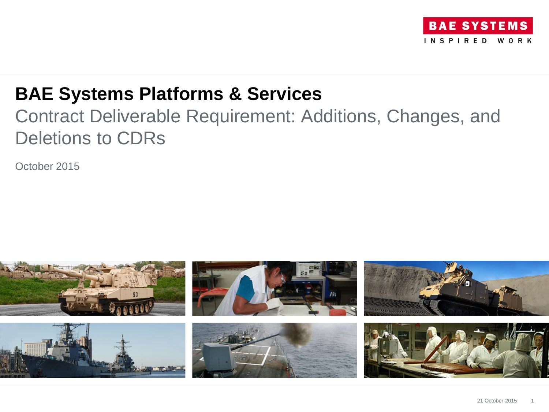

## **BAE Systems Platforms & Services**

## Contract Deliverable Requirement: Additions, Changes, and Deletions to CDRs

October 2015

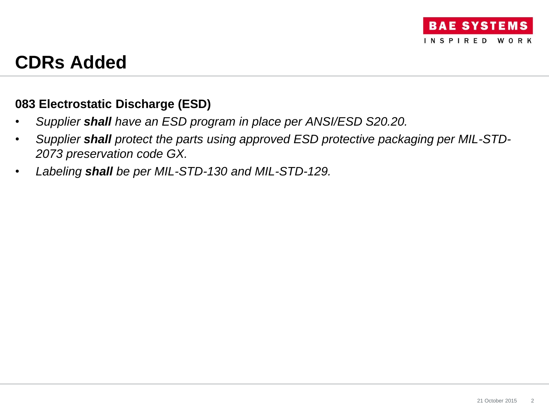## **CDRs Added**

## **083 Electrostatic Discharge (ESD)**

- *Supplier shall have an ESD program in place per ANSI/ESD S20.20.*
- *Supplier shall protect the parts using approved ESD protective packaging per MIL-STD-2073 preservation code GX.*
- *Labeling shall be per MIL-STD-130 and MIL-STD-129.*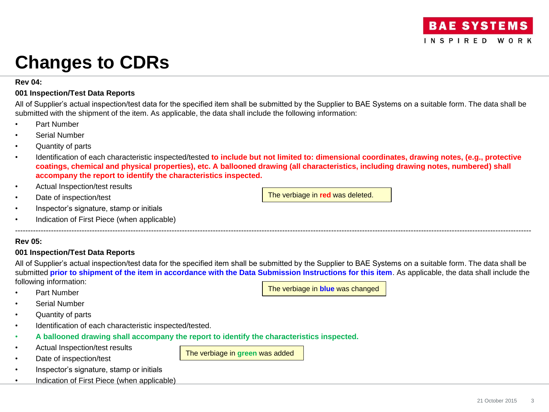# **Changes to CDRs**

### **Rev 04:**

## **001 Inspection/Test Data Reports**

All of Supplier's actual inspection/test data for the specified item shall be submitted by the Supplier to BAE Systems on a suitable form. The data shall be submitted with the shipment of the item. As applicable, the data shall include the following information:

- Part Number
- Serial Number
- Quantity of parts
- Identification of each characteristic inspected/tested **to include but not limited to: dimensional coordinates, drawing notes, (e.g., protective coatings, chemical and physical properties), etc. A ballooned drawing (all characteristics, including drawing notes, numbered) shall accompany the report to identify the characteristics inspected.**
- Actual Inspection/test results
- Date of inspection/test
- Inspector's signature, stamp or initials
- Indication of First Piece (when applicable)

## **Rev 05:**

## **001 Inspection/Test Data Reports**

All of Supplier's actual inspection/test data for the specified item shall be submitted by the Supplier to BAE Systems on a suitable form. The data shall be submitted **prior to shipment of the item in accordance with the Data Submission Instructions for this item**. As applicable, the data shall include the following information:

The verbiage in **green** was added

---------------------------------------------------------------------------------------------------------------------------------------------------------------------------------------------------------

The verbiage in **blue** was changed

The verbiage in **red** was deleted.

- Part Number
- Serial Number
- Quantity of parts
- Identification of each characteristic inspected/tested.
- **A ballooned drawing shall accompany the report to identify the characteristics inspected.**
- Actual Inspection/test results
- Date of inspection/test
- Inspector's signature, stamp or initials
- Indication of First Piece (when applicable)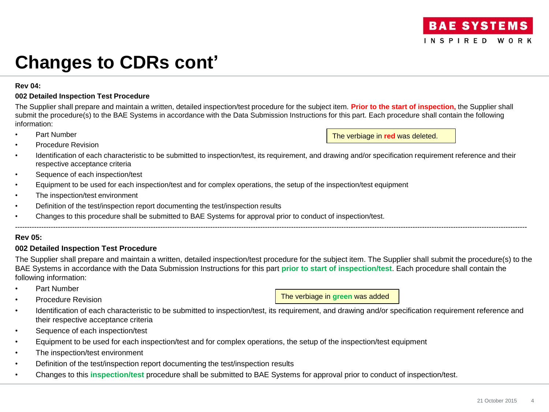### **Rev 04:**

### **002 Detailed Inspection Test Procedure**

The Supplier shall prepare and maintain a written, detailed inspection/test procedure for the subject item. **Prior to the start of inspection,** the Supplier shall submit the procedure(s) to the BAE Systems in accordance with the Data Submission Instructions for this part. Each procedure shall contain the following information:

Part Number

The verbiage in **red** was deleted.

- Procedure Revision
- Identification of each characteristic to be submitted to inspection/test, its requirement, and drawing and/or specification requirement reference and their respective acceptance criteria
- Sequence of each inspection/test
- Equipment to be used for each inspection/test and for complex operations, the setup of the inspection/test equipment
- The inspection/test environment
- Definition of the test/inspection report documenting the test/inspection results
- Changes to this procedure shall be submitted to BAE Systems for approval prior to conduct of inspection/test.

## **Rev 05:**

### **002 Detailed Inspection Test Procedure**

The Supplier shall prepare and maintain a written, detailed inspection/test procedure for the subject item. The Supplier shall submit the procedure(s) to the BAE Systems in accordance with the Data Submission Instructions for this part **prior to start of inspection/test**. Each procedure shall contain the following information:

-----------------------------------------------------------------------------------------------------------------------------------------------------------------------------------------------------------------------

- Part Number
- Procedure Revision

The verbiage in **green** was added

- Identification of each characteristic to be submitted to inspection/test, its requirement, and drawing and/or specification requirement reference and their respective acceptance criteria
- Sequence of each inspection/test
- Equipment to be used for each inspection/test and for complex operations, the setup of the inspection/test equipment
- The inspection/test environment
- Definition of the test/inspection report documenting the test/inspection results
- Changes to this **inspection/test** procedure shall be submitted to BAE Systems for approval prior to conduct of inspection/test.

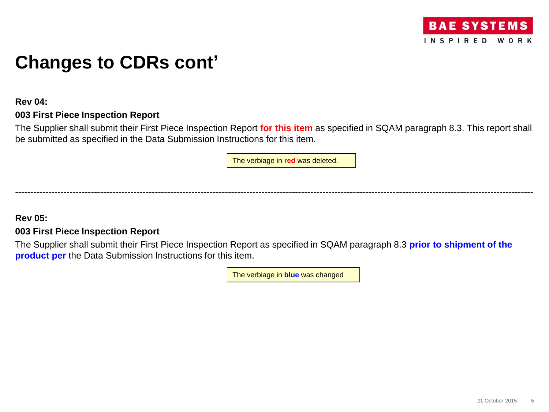

## **Rev 04:**

## **003 First Piece Inspection Report**

The Supplier shall submit their First Piece Inspection Report **for this item** as specified in SQAM paragraph 8.3. This report shall be submitted as specified in the Data Submission Instructions for this item.

The verbiage in **red** was deleted.

--------------------------------------------------------------------------------------------------------------------------------------------------------------------------

## **Rev 05:**

## **003 First Piece Inspection Report**

The Supplier shall submit their First Piece Inspection Report as specified in SQAM paragraph 8.3 **prior to shipment of the product per** the Data Submission Instructions for this item.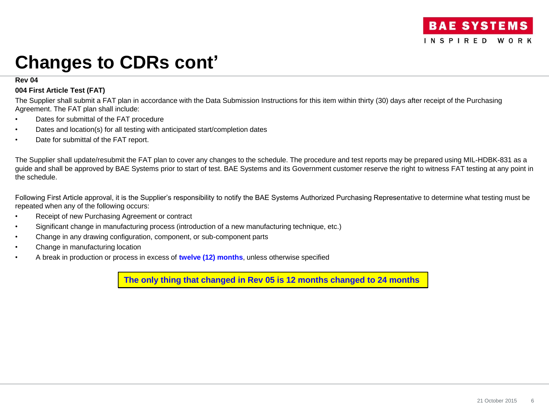#### **Rev 04**

### **004 First Article Test (FAT)**

The Supplier shall submit a FAT plan in accordance with the Data Submission Instructions for this item within thirty (30) days after receipt of the Purchasing Agreement. The FAT plan shall include:

- Dates for submittal of the FAT procedure
- Dates and location(s) for all testing with anticipated start/completion dates
- Date for submittal of the FAT report.

The Supplier shall update/resubmit the FAT plan to cover any changes to the schedule. The procedure and test reports may be prepared using MIL-HDBK-831 as a guide and shall be approved by BAE Systems prior to start of test. BAE Systems and its Government customer reserve the right to witness FAT testing at any point in the schedule.

Following First Article approval, it is the Supplier's responsibility to notify the BAE Systems Authorized Purchasing Representative to determine what testing must be repeated when any of the following occurs:

- Receipt of new Purchasing Agreement or contract
- Significant change in manufacturing process (introduction of a new manufacturing technique, etc.)
- Change in any drawing configuration, component, or sub-component parts
- Change in manufacturing location
- A break in production or process in excess of **twelve (12) months**, unless otherwise specified

**The only thing that changed in Rev 05 is 12 months changed to 24 months**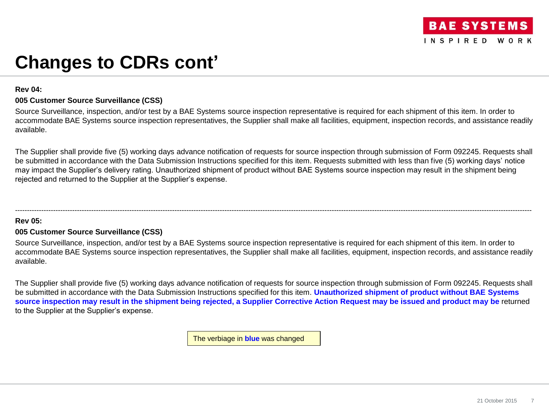### **Rev 04:**

## **005 Customer Source Surveillance (CSS)**

Source Surveillance, inspection, and/or test by a BAE Systems source inspection representative is required for each shipment of this item. In order to accommodate BAE Systems source inspection representatives, the Supplier shall make all facilities, equipment, inspection records, and assistance readily available.

The Supplier shall provide five (5) working days advance notification of requests for source inspection through submission of Form 092245. Requests shall be submitted in accordance with the Data Submission Instructions specified for this item. Requests submitted with less than five (5) working days' notice may impact the Supplier's delivery rating. Unauthorized shipment of product without BAE Systems source inspection may result in the shipment being rejected and returned to the Supplier at the Supplier's expense.

-------------------------------------------------------------------------------------------------------------------------------------------------------------------------------------------------------------------------

## **Rev 05:**

## **005 Customer Source Surveillance (CSS)**

Source Surveillance, inspection, and/or test by a BAE Systems source inspection representative is required for each shipment of this item. In order to accommodate BAE Systems source inspection representatives, the Supplier shall make all facilities, equipment, inspection records, and assistance readily available.

The Supplier shall provide five (5) working days advance notification of requests for source inspection through submission of Form 092245. Requests shall be submitted in accordance with the Data Submission Instructions specified for this item. **Unauthorized shipment of product without BAE Systems source inspection may result in the shipment being rejected, a Supplier Corrective Action Request may be issued and product may be** returned to the Supplier at the Supplier's expense.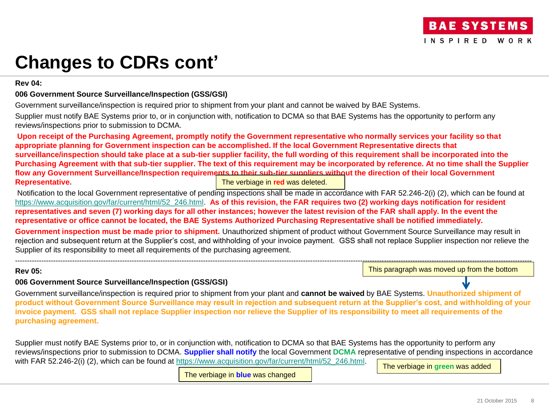**Rev 04:**

## **006 Government Source Surveillance/Inspection (GSS/GSI)**

Government surveillance/inspection is required prior to shipment from your plant and cannot be waived by BAE Systems.

Supplier must notify BAE Systems prior to, or in conjunction with, notification to DCMA so that BAE Systems has the opportunity to perform any reviews/inspections prior to submission to DCMA.

**Upon receipt of the Purchasing Agreement, promptly notify the Government representative who normally services your facility so that appropriate planning for Government inspection can be accomplished. If the local Government Representative directs that surveillance/inspection should take place at a sub-tier supplier facility, the full wording of this requirement shall be incorporated into the Purchasing Agreement with that sub-tier supplier. The text of this requirement may be incorporated by reference. At no time shall the Supplier flow any Government Surveillance/Inspection requirements to their sub-tier suppliers without the direction of their local Government Representative.** The verbiage in **red** was deleted.

Notification to the local Government representative of pending inspections shall be made in accordance with FAR 52.246-2(i) (2), which can be found at [https://www.acquisition.gov/far/current/html/52\\_246.html](https://www.acquisition.gov/far/current/html/52_246.html). **As of this revision, the FAR requires two (2) working days notification for resident representatives and seven (7) working days for all other instances; however the latest revision of the FAR shall apply. In the event the representative or office cannot be located, the BAE Systems Authorized Purchasing Representative shall be notified immediately.** 

**Government inspection must be made prior to shipment.** Unauthorized shipment of product without Government Source Surveillance may result in rejection and subsequent return at the Supplier's cost, and withholding of your invoice payment. GSS shall not replace Supplier inspection nor relieve the Supplier of its responsibility to meet all requirements of the purchasing agreement.

-------------------------------------------------------------------------------------------------------------------------------------------------------------------------------------------------------------------------

## **Rev 05:**

This paragraph was moved up from the bottom

## **006 Government Source Surveillance/Inspection (GSS/GSI)**

Government surveillance/inspection is required prior to shipment from your plant and **cannot be waived** by BAE Systems. **Unauthorized shipment of product without Government Source Surveillance may result in rejection and subsequent return at the Supplier's cost, and withholding of your invoice payment. GSS shall not replace Supplier inspection nor relieve the Supplier of its responsibility to meet all requirements of the purchasing agreement.**

Supplier must notify BAE Systems prior to, or in conjunction with, notification to DCMA so that BAE Systems has the opportunity to perform any reviews/inspections prior to submission to DCMA. **Supplier shall notify** the local Government **DCMA** representative of pending inspections in accordance with FAR 52.246-2(i) (2), which can be found at [https://www.acquisition.gov/far/current/html/52\\_246.html](https://www.acquisition.gov/far/current/html/52_246.html).

The verbiage in **blue** was changed

The verbiage in **green** was added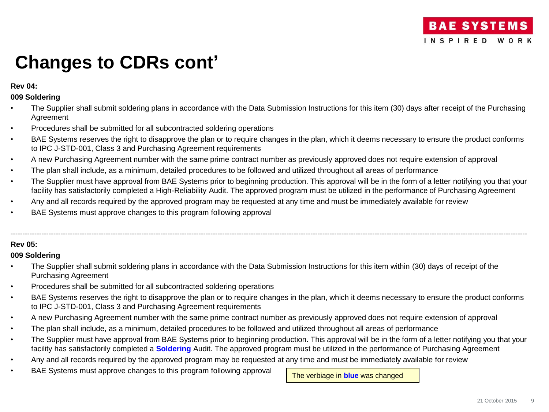## **Rev 04:**

## **009 Soldering**

- The Supplier shall submit soldering plans in accordance with the Data Submission Instructions for this item (30) days after receipt of the Purchasing Agreement
- Procedures shall be submitted for all subcontracted soldering operations
- BAE Systems reserves the right to disapprove the plan or to require changes in the plan, which it deems necessary to ensure the product conforms to IPC J-STD-001, Class 3 and Purchasing Agreement requirements
- A new Purchasing Agreement number with the same prime contract number as previously approved does not require extension of approval
- The plan shall include, as a minimum, detailed procedures to be followed and utilized throughout all areas of performance
- The Supplier must have approval from BAE Systems prior to beginning production. This approval will be in the form of a letter notifying you that your facility has satisfactorily completed a High-Reliability Audit. The approved program must be utilized in the performance of Purchasing Agreement

-------------------------------------------------------------------------------------------------------------------------------------------------------------------------------------------------------------------------

- Any and all records required by the approved program may be requested at any time and must be immediately available for review
- BAE Systems must approve changes to this program following approval

## **Rev 05:**

## **009 Soldering**

- The Supplier shall submit soldering plans in accordance with the Data Submission Instructions for this item within (30) days of receipt of the Purchasing Agreement
- Procedures shall be submitted for all subcontracted soldering operations
- BAE Systems reserves the right to disapprove the plan or to require changes in the plan, which it deems necessary to ensure the product conforms to IPC J-STD-001, Class 3 and Purchasing Agreement requirements
- A new Purchasing Agreement number with the same prime contract number as previously approved does not require extension of approval
- The plan shall include, as a minimum, detailed procedures to be followed and utilized throughout all areas of performance
- The Supplier must have approval from BAE Systems prior to beginning production. This approval will be in the form of a letter notifying you that your facility has satisfactorily completed a **Soldering** Audit. The approved program must be utilized in the performance of Purchasing Agreement
- Any and all records required by the approved program may be requested at any time and must be immediately available for review
- BAE Systems must approve changes to this program following approval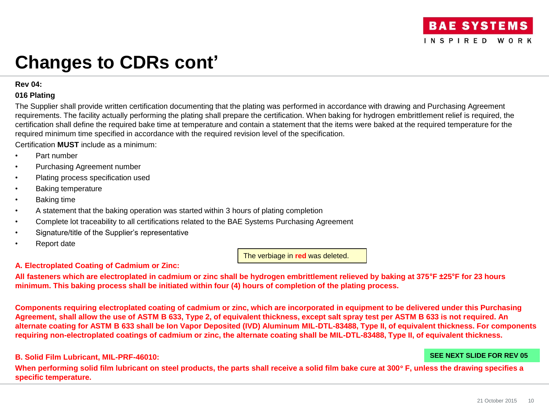### **Rev 04:**

## **016 Plating**

The Supplier shall provide written certification documenting that the plating was performed in accordance with drawing and Purchasing Agreement requirements. The facility actually performing the plating shall prepare the certification. When baking for hydrogen embrittlement relief is required, the certification shall define the required bake time at temperature and contain a statement that the items were baked at the required temperature for the required minimum time specified in accordance with the required revision level of the specification.

Certification **MUST** include as a minimum:

- Part number
- Purchasing Agreement number
- Plating process specification used
- Baking temperature
- Baking time
- A statement that the baking operation was started within 3 hours of plating completion
- Complete lot traceability to all certifications related to the BAE Systems Purchasing Agreement
- Signature/title of the Supplier's representative
- Report date

The verbiage in **red** was deleted.

## **A. Electroplated Coating of Cadmium or Zinc:**

**All fasteners which are electroplated in cadmium or zinc shall be hydrogen embrittlement relieved by baking at 375°F ±25°F for 23 hours minimum. This baking process shall be initiated within four (4) hours of completion of the plating process.**

**Components requiring electroplated coating of cadmium or zinc, which are incorporated in equipment to be delivered under this Purchasing Agreement, shall allow the use of ASTM B 633, Type 2, of equivalent thickness, except salt spray test per ASTM B 633 is not required. An alternate coating for ASTM B 633 shall be Ion Vapor Deposited (IVD) Aluminum MIL-DTL-83488, Type II, of equivalent thickness. For components requiring non-electroplated coatings of cadmium or zinc, the alternate coating shall be MIL-DTL-83488, Type II, of equivalent thickness.** 

## **B. Solid Film Lubricant, MIL-PRF-46010:**

**When performing solid film lubricant on steel products, the parts shall receive a solid film bake cure at 300 F, unless the drawing specifies a specific temperature.**

**SEE NEXT SLIDE FOR REV 05**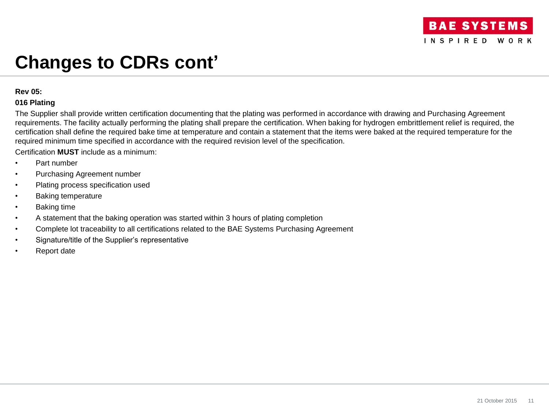### **Rev 05:**

## **016 Plating**

The Supplier shall provide written certification documenting that the plating was performed in accordance with drawing and Purchasing Agreement requirements. The facility actually performing the plating shall prepare the certification. When baking for hydrogen embrittlement relief is required, the certification shall define the required bake time at temperature and contain a statement that the items were baked at the required temperature for the required minimum time specified in accordance with the required revision level of the specification.

Certification **MUST** include as a minimum:

- Part number
- Purchasing Agreement number
- Plating process specification used
- Baking temperature
- Baking time
- A statement that the baking operation was started within 3 hours of plating completion
- Complete lot traceability to all certifications related to the BAE Systems Purchasing Agreement
- Signature/title of the Supplier's representative
- Report date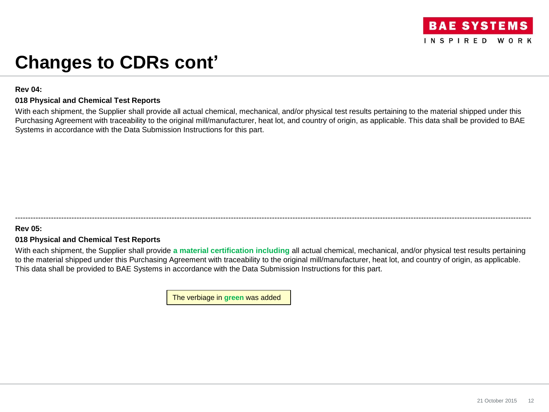### **Rev 04:**

## **018 Physical and Chemical Test Reports**

With each shipment, the Supplier shall provide all actual chemical, mechanical, and/or physical test results pertaining to the material shipped under this Purchasing Agreement with traceability to the original mill/manufacturer, heat lot, and country of origin, as applicable. This data shall be provided to BAE Systems in accordance with the Data Submission Instructions for this part.

## **Rev 05:**

## **018 Physical and Chemical Test Reports**

With each shipment, the Supplier shall provide **a material certification including** all actual chemical, mechanical, and/or physical test results pertaining to the material shipped under this Purchasing Agreement with traceability to the original mill/manufacturer, heat lot, and country of origin, as applicable. This data shall be provided to BAE Systems in accordance with the Data Submission Instructions for this part.

---------------------------------------------------------------------------------------------------------------------------------------------------------------------------------------------------------

The verbiage in **green** was added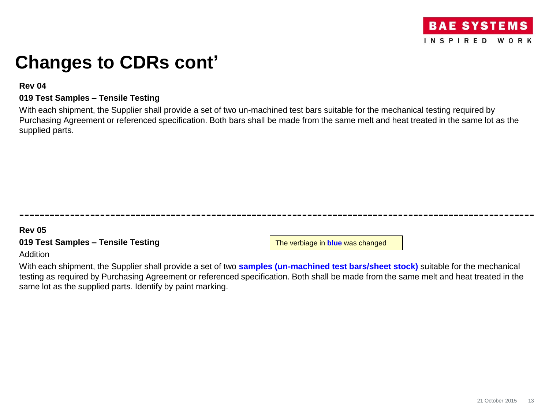

## **Rev 04**

## **019 Test Samples – Tensile Testing**

With each shipment, the Supplier shall provide a set of two un-machined test bars suitable for the mechanical testing required by Purchasing Agreement or referenced specification. Both bars shall be made from the same melt and heat treated in the same lot as the supplied parts.

## **Rev 05**

## **019 Test Samples – Tensile Testing**

The verbiage in **blue** was changed

## Addition

With each shipment, the Supplier shall provide a set of two **samples (un-machined test bars/sheet stock)** suitable for the mechanical testing as required by Purchasing Agreement or referenced specification. Both shall be made from the same melt and heat treated in the same lot as the supplied parts. Identify by paint marking.

------------------------------------------------------------------------------------------------------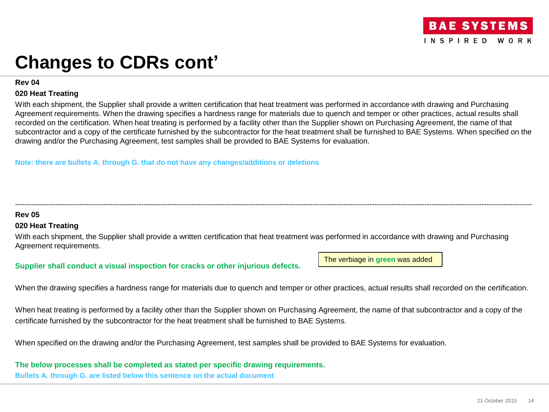

**Rev 04**

### **020 Heat Treating**

With each shipment, the Supplier shall provide a written certification that heat treatment was performed in accordance with drawing and Purchasing Agreement requirements. When the drawing specifies a hardness range for materials due to quench and temper or other practices, actual results shall recorded on the certification. When heat treating is performed by a facility other than the Supplier shown on Purchasing Agreement, the name of that subcontractor and a copy of the certificate furnished by the subcontractor for the heat treatment shall be furnished to BAE Systems. When specified on the drawing and/or the Purchasing Agreement, test samples shall be provided to BAE Systems for evaluation.

-------------------------------------------------------------------------------------------------------------------------------------------------------------------------------------------------------------------------

**Note: there are bullets A. through G. that do not have any changes/additions or deletions**

## **Rev 05**

## **020 Heat Treating**

With each shipment, the Supplier shall provide a written certification that heat treatment was performed in accordance with drawing and Purchasing Agreement requirements.

**Supplier shall conduct a visual inspection for cracks or other injurious defects.**

The verbiage in **green** was added

When the drawing specifies a hardness range for materials due to quench and temper or other practices, actual results shall recorded on the certification.

When heat treating is performed by a facility other than the Supplier shown on Purchasing Agreement, the name of that subcontractor and a copy of the certificate furnished by the subcontractor for the heat treatment shall be furnished to BAE Systems.

When specified on the drawing and/or the Purchasing Agreement, test samples shall be provided to BAE Systems for evaluation.

**The below processes shall be completed as stated per specific drawing requirements. Bullets A. through G. are listed below this sentence on the actual document**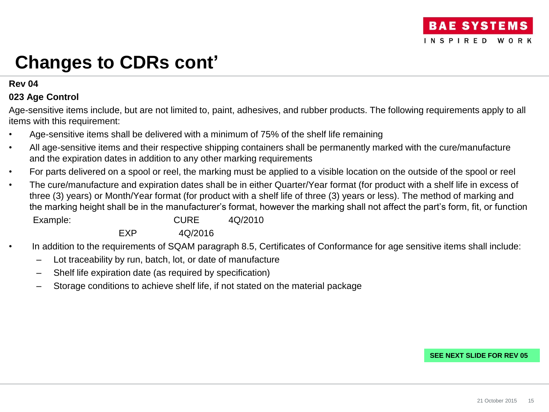## **Rev 04**

## **023 Age Control**

Age-sensitive items include, but are not limited to, paint, adhesives, and rubber products. The following requirements apply to all items with this requirement:

- Age-sensitive items shall be delivered with a minimum of 75% of the shelf life remaining
- All age-sensitive items and their respective shipping containers shall be permanently marked with the cure/manufacture and the expiration dates in addition to any other marking requirements
- For parts delivered on a spool or reel, the marking must be applied to a visible location on the outside of the spool or reel
- The cure/manufacture and expiration dates shall be in either Quarter/Year format (for product with a shelf life in excess of three (3) years) or Month/Year format (for product with a shelf life of three (3) years or less). The method of marking and the marking height shall be in the manufacturer's format, however the marking shall not affect the part's form, fit, or function Example: CURE 4Q/2010

EXP 4Q/2016

- In addition to the requirements of SQAM paragraph 8.5, Certificates of Conformance for age sensitive items shall include:
	- Lot traceability by run, batch, lot, or date of manufacture
	- Shelf life expiration date (as required by specification)
	- Storage conditions to achieve shelf life, if not stated on the material package

**SEE NEXT SLIDE FOR REV 05**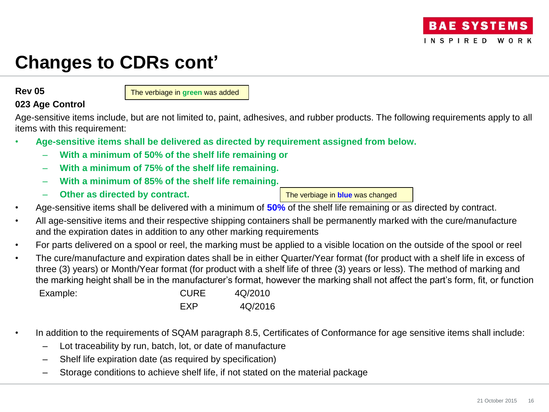## **Rev 05**

The verbiage in **green** was added

## **023 Age Control**

Age-sensitive items include, but are not limited to, paint, adhesives, and rubber products. The following requirements apply to all items with this requirement:

- **Age-sensitive items shall be delivered as directed by requirement assigned from below.** 
	- **With a minimum of 50% of the shelf life remaining or**
	- **With a minimum of 75% of the shelf life remaining.**
	- **With a minimum of 85% of the shelf life remaining.**
	- **Other as directed by contract.**

- Age-sensitive items shall be delivered with a minimum of **50%** of the shelf life remaining or as directed by contract.
- All age-sensitive items and their respective shipping containers shall be permanently marked with the cure/manufacture and the expiration dates in addition to any other marking requirements
- For parts delivered on a spool or reel, the marking must be applied to a visible location on the outside of the spool or reel
- The cure/manufacture and expiration dates shall be in either Quarter/Year format (for product with a shelf life in excess of three (3) years) or Month/Year format (for product with a shelf life of three (3) years or less). The method of marking and the marking height shall be in the manufacturer's format, however the marking shall not affect the part's form, fit, or function Example: CURE 4Q/2010 EXP 4Q/2016
- In addition to the requirements of SQAM paragraph 8.5, Certificates of Conformance for age sensitive items shall include:
	- Lot traceability by run, batch, lot, or date of manufacture
	- Shelf life expiration date (as required by specification)
	- Storage conditions to achieve shelf life, if not stated on the material package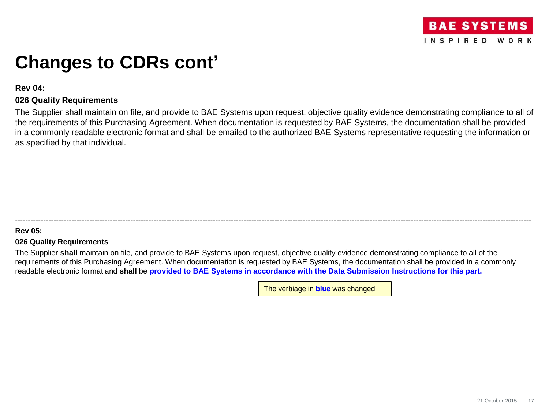

## **Rev 04:**

## **026 Quality Requirements**

The Supplier shall maintain on file, and provide to BAE Systems upon request, objective quality evidence demonstrating compliance to all of the requirements of this Purchasing Agreement. When documentation is requested by BAE Systems, the documentation shall be provided in a commonly readable electronic format and shall be emailed to the authorized BAE Systems representative requesting the information or as specified by that individual.

## **Rev 05:**

## **026 Quality Requirements**

The Supplier **shall** maintain on file, and provide to BAE Systems upon request, objective quality evidence demonstrating compliance to all of the requirements of this Purchasing Agreement. When documentation is requested by BAE Systems, the documentation shall be provided in a commonly readable electronic format and **shall** be **provided to BAE Systems in accordance with the Data Submission Instructions for this part.** 

---------------------------------------------------------------------------------------------------------------------------------------------------------------------------------------------------------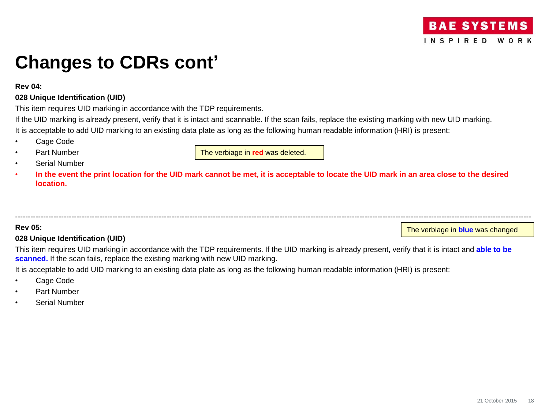### **Rev 04:**

## **028 Unique Identification (UID)**

This item requires UID marking in accordance with the TDP requirements.

If the UID marking is already present, verify that it is intact and scannable. If the scan fails, replace the existing marking with new UID marking. It is acceptable to add UID marking to an existing data plate as long as the following human readable information (HRI) is present:

- Cage Code
- Part Number
- Serial Number

The verbiage in **red** was deleted.

• **In the event the print location for the UID mark cannot be met, it is acceptable to locate the UID mark in an area close to the desired location.** 

### **Rev 05:**

## **028 Unique Identification (UID)**

The verbiage in **blue** was changed

This item requires UID marking in accordance with the TDP requirements. If the UID marking is already present, verify that it is intact and **able to be scanned.** If the scan fails, replace the existing marking with new UID marking.

---------------------------------------------------------------------------------------------------------------------------------------------------------------------------------------------------------

It is acceptable to add UID marking to an existing data plate as long as the following human readable information (HRI) is present:

- Cage Code
- Part Number
- Serial Number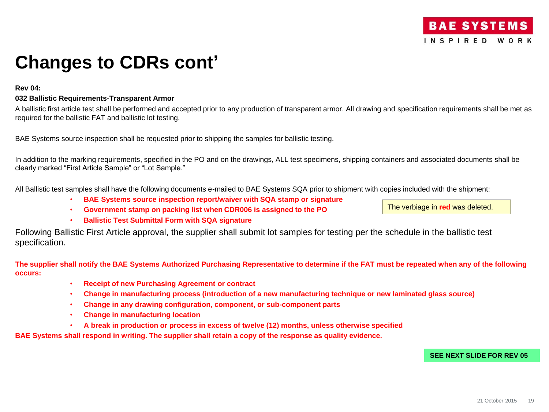### **Rev 04:**

### **032 Ballistic Requirements-Transparent Armor**

A ballistic first article test shall be performed and accepted prior to any production of transparent armor. All drawing and specification requirements shall be met as required for the ballistic FAT and ballistic lot testing.

BAE Systems source inspection shall be requested prior to shipping the samples for ballistic testing.

In addition to the marking requirements, specified in the PO and on the drawings, ALL test specimens, shipping containers and associated documents shall be clearly marked "First Article Sample" or "Lot Sample."

All Ballistic test samples shall have the following documents e-mailed to BAE Systems SQA prior to shipment with copies included with the shipment:

• **BAE Systems source inspection report/waiver with SQA stamp or signature** 

• **Government stamp on packing list when CDR006 is assigned to the PO**

The verbiage in **red** was deleted.

• **Ballistic Test Submittal Form with SQA signature**

Following Ballistic First Article approval, the supplier shall submit lot samples for testing per the schedule in the ballistic test specification.

**The supplier shall notify the BAE Systems Authorized Purchasing Representative to determine if the FAT must be repeated when any of the following occurs:** 

- **Receipt of new Purchasing Agreement or contract**
- **Change in manufacturing process (introduction of a new manufacturing technique or new laminated glass source)**
- **Change in any drawing configuration, component, or sub-component parts**
- **Change in manufacturing location**
- **A break in production or process in excess of twelve (12) months, unless otherwise specified**

**BAE Systems shall respond in writing. The supplier shall retain a copy of the response as quality evidence.**

### **SEE NEXT SLIDE FOR REV 05**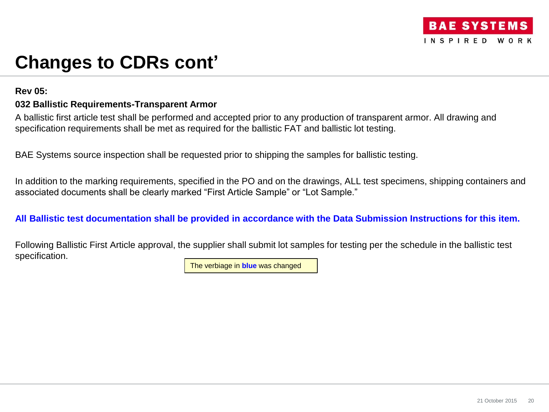

## **Rev 05:**

## **032 Ballistic Requirements-Transparent Armor**

A ballistic first article test shall be performed and accepted prior to any production of transparent armor. All drawing and specification requirements shall be met as required for the ballistic FAT and ballistic lot testing.

BAE Systems source inspection shall be requested prior to shipping the samples for ballistic testing.

In addition to the marking requirements, specified in the PO and on the drawings, ALL test specimens, shipping containers and associated documents shall be clearly marked "First Article Sample" or "Lot Sample."

## **All Ballistic test documentation shall be provided in accordance with the Data Submission Instructions for this item.**

Following Ballistic First Article approval, the supplier shall submit lot samples for testing per the schedule in the ballistic test specification.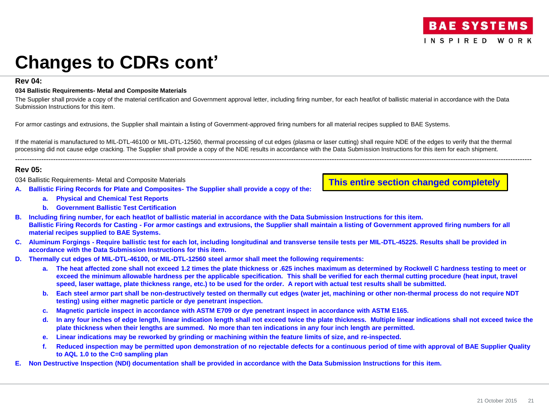### **Rev 04:**

#### **034 Ballistic Requirements- Metal and Composite Materials**

The Supplier shall provide a copy of the material certification and Government approval letter, including firing number, for each heat/lot of ballistic material in accordance with the Data Submission Instructions for this item.

For armor castings and extrusions, the Supplier shall maintain a listing of Government-approved firing numbers for all material recipes supplied to BAE Systems.

If the material is manufactured to MIL-DTL-46100 or MIL-DTL-12560, thermal processing of cut edges (plasma or laser cutting) shall require NDE of the edges to verify that the thermal processing did not cause edge cracking. The Supplier shall provide a copy of the NDE results in accordance with the Data Submission Instructions for this item for each shipment.

-------------------------------------------------------------------------------------------------------------------------------------------------------------------------------------------------------------------------

### **Rev 05:**

034 Ballistic Requirements- Metal and Composite Materials

- **A. Ballistic Firing Records for Plate and Composites- The Supplier shall provide a copy of the:** 
	- **a. Physical and Chemical Test Reports**
	- **b. Government Ballistic Test Certification**

**This entire section changed completely**

- **B. Including firing number, for each heat/lot of ballistic material in accordance with the Data Submission Instructions for this item. Ballistic Firing Records for Casting - For armor castings and extrusions, the Supplier shall maintain a listing of Government approved firing numbers for all material recipes supplied to BAE Systems.**
- **C. Aluminum Forgings - Require ballistic test for each lot, including longitudinal and transverse tensile tests per MIL-DTL-45225. Results shall be provided in accordance with the Data Submission Instructions for this item.**
- **D. Thermally cut edges of MIL-DTL-46100, or MIL-DTL-12560 steel armor shall meet the following requirements:**
	- **a. The heat affected zone shall not exceed 1.2 times the plate thickness or .625 inches maximum as determined by Rockwell C hardness testing to meet or exceed the minimum allowable hardness per the applicable specification. This shall be verified for each thermal cutting procedure (heat input, travel speed, laser wattage, plate thickness range, etc.) to be used for the order. A report with actual test results shall be submitted.**
	- **b. Each steel armor part shall be non-destructively tested on thermally cut edges (water jet, machining or other non-thermal process do not require NDT testing) using either magnetic particle or dye penetrant inspection.**
	- **c. Magnetic particle inspect in accordance with ASTM E709 or dye penetrant inspect in accordance with ASTM E165.**
	- **d. In any four inches of edge length, linear indication length shall not exceed twice the plate thickness. Multiple linear indications shall not exceed twice the plate thickness when their lengths are summed. No more than ten indications in any four inch length are permitted.**
	- **e. Linear indications may be reworked by grinding or machining within the feature limits of size, and re-inspected.**
	- **f. Reduced inspection may be permitted upon demonstration of no rejectable defects for a continuous period of time with approval of BAE Supplier Quality to AQL 1.0 to the C=0 sampling plan**
- **E. Non Destructive Inspection (NDI) documentation shall be provided in accordance with the Data Submission Instructions for this item.**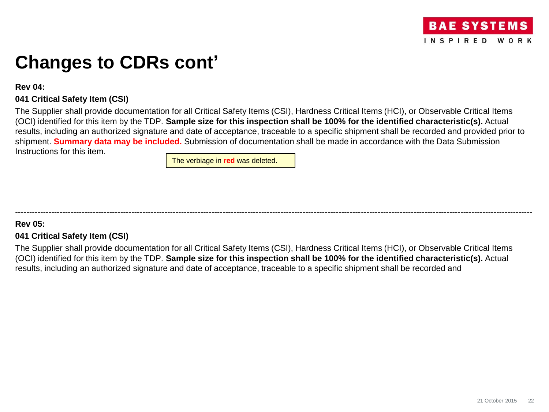## **Rev 04:**

## **041 Critical Safety Item (CSI)**

The Supplier shall provide documentation for all Critical Safety Items (CSI), Hardness Critical Items (HCI), or Observable Critical Items (OCI) identified for this item by the TDP. **Sample size for this inspection shall be 100% for the identified characteristic(s).** Actual results, including an authorized signature and date of acceptance, traceable to a specific shipment shall be recorded and provided prior to shipment. **Summary data may be included.** Submission of documentation shall be made in accordance with the Data Submission Instructions for this item.

The verbiage in **red** was deleted.

## **Rev 05:**

## **041 Critical Safety Item (CSI)**

The Supplier shall provide documentation for all Critical Safety Items (CSI), Hardness Critical Items (HCI), or Observable Critical Items (OCI) identified for this item by the TDP. **Sample size for this inspection shall be 100% for the identified characteristic(s).** Actual results, including an authorized signature and date of acceptance, traceable to a specific shipment shall be recorded and

-------------------------------------------------------------------------------------------------------------------------------------------------------------------------------------------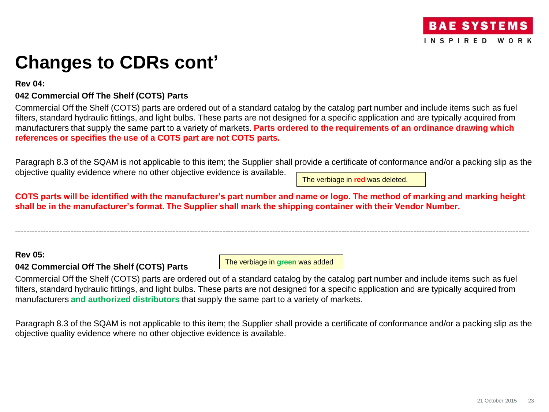## **Rev 04:**

## **042 Commercial Off The Shelf (COTS) Parts**

Commercial Off the Shelf (COTS) parts are ordered out of a standard catalog by the catalog part number and include items such as fuel filters, standard hydraulic fittings, and light bulbs. These parts are not designed for a specific application and are typically acquired from manufacturers that supply the same part to a variety of markets. **Parts ordered to the requirements of an ordinance drawing which references or specifies the use of a COTS part are not COTS parts.** 

Paragraph 8.3 of the SQAM is not applicable to this item; the Supplier shall provide a certificate of conformance and/or a packing slip as the objective quality evidence where no other objective evidence is available.

The verbiage in **red** was deleted.

**COTS parts will be identified with the manufacturer's part number and name or logo. The method of marking and marking height shall be in the manufacturer's format. The Supplier shall mark the shipping container with their Vendor Number.** 

------------------------------------------------------------------------------------------------------------------------------------------------------------------------------------------

## **Rev 05:**

## **042 Commercial Off The Shelf (COTS) Parts**

The verbiage in **green** was added

Commercial Off the Shelf (COTS) parts are ordered out of a standard catalog by the catalog part number and include items such as fuel filters, standard hydraulic fittings, and light bulbs. These parts are not designed for a specific application and are typically acquired from manufacturers **and authorized distributors** that supply the same part to a variety of markets.

Paragraph 8.3 of the SQAM is not applicable to this item; the Supplier shall provide a certificate of conformance and/or a packing slip as the objective quality evidence where no other objective evidence is available.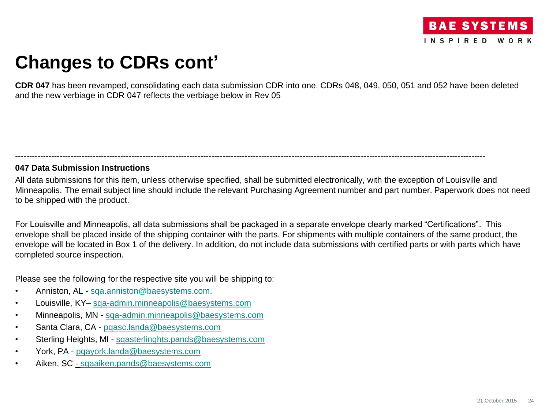

**CDR 047** has been revamped, consolidating each data submission CDR into one. CDRs 048, 049, 050, 051 and 052 have been deleted and the new verbiage in CDR 047 reflects the verbiage below in Rev 05

## **047 Data Submission Instructions**

All data submissions for this item, unless otherwise specified, shall be submitted electronically, with the exception of Louisville and Minneapolis. The email subject line should include the relevant Purchasing Agreement number and part number. Paperwork does not need to be shipped with the product.

--------------------------------------------------------------------------------------------------------------------------------------------------------------------------

For Louisville and Minneapolis, all data submissions shall be packaged in a separate envelope clearly marked "Certifications". This envelope shall be placed inside of the shipping container with the parts. For shipments with multiple containers of the same product, the envelope will be located in Box 1 of the delivery. In addition, do not include data submissions with certified parts or with parts which have completed source inspection.

Please see the following for the respective site you will be shipping to:

- Anniston, AL [sqa.anniston@baesystems.com](mailto:sqa.anniston@baesystems.com).
- Louisville, KY– [sqa-admin.minneapolis@baesystems.com](mailto:sqa-admin.minneapolis@baesystems.com)
- Minneapolis, MN [sqa-admin.minneapolis@baesystems.com](mailto:sqa-admin.minneapolis@baesystems.com)
- Santa Clara, CA [pqasc.landa@baesystems.com](mailto:pqasc.landa@baesystems.com)
- Sterling Heights, MI [sqasterlinghts.pands@baesystems.com](mailto:sqasterlinghts.pands@baesystems.com)
- York, PA [pqayork.landa@baesystems.com](mailto:pqayork.landa@baesystems.com)
- Aiken, SC [sqaaiken.pands@baesystems.com](mailto:sqaaiken.pands@baesystems.com)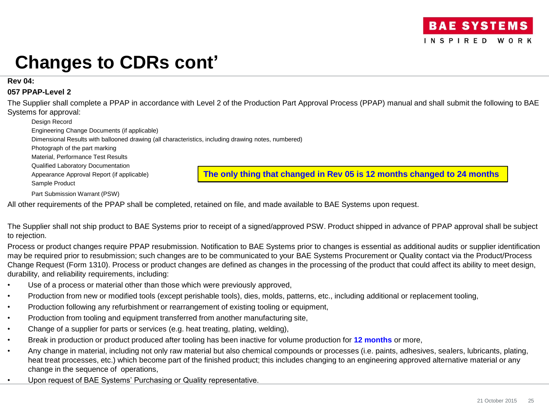**Rev 04:**

## **057 PPAP-Level 2**

The Supplier shall complete a PPAP in accordance with Level 2 of the Production Part Approval Process (PPAP) manual and shall submit the following to BAE Systems for approval:

| Design Record                                                                                       |                                                                         |
|-----------------------------------------------------------------------------------------------------|-------------------------------------------------------------------------|
| Engineering Change Documents (if applicable)                                                        |                                                                         |
| Dimensional Results with ballooned drawing (all characteristics, including drawing notes, numbered) |                                                                         |
| Photograph of the part marking                                                                      |                                                                         |
| Material, Performance Test Results                                                                  |                                                                         |
| <b>Qualified Laboratory Documentation</b>                                                           |                                                                         |
| Appearance Approval Report (if applicable)                                                          | The only thing that changed in Rev 05 is 12 months changed to 24 months |
| Sample Product                                                                                      |                                                                         |
| Part Submission Warrant (PSW)                                                                       |                                                                         |

All other requirements of the PPAP shall be completed, retained on file, and made available to BAE Systems upon request.

The Supplier shall not ship product to BAE Systems prior to receipt of a signed/approved PSW. Product shipped in advance of PPAP approval shall be subject to rejection.

Process or product changes require PPAP resubmission. Notification to BAE Systems prior to changes is essential as additional audits or supplier identification may be required prior to resubmission; such changes are to be communicated to your BAE Systems Procurement or Quality contact via the Product/Process Change Request (Form 1310). Process or product changes are defined as changes in the processing of the product that could affect its ability to meet design, durability, and reliability requirements, including:

- Use of a process or material other than those which were previously approved,
- Production from new or modified tools (except perishable tools), dies, molds, patterns, etc., including additional or replacement tooling,
- Production following any refurbishment or rearrangement of existing tooling or equipment,
- Production from tooling and equipment transferred from another manufacturing site,
- Change of a supplier for parts or services (e.g. heat treating, plating, welding),
- Break in production or product produced after tooling has been inactive for volume production for **12 months** or more,
- Any change in material, including not only raw material but also chemical compounds or processes (i.e. paints, adhesives, sealers, lubricants, plating, heat treat processes, etc.) which become part of the finished product; this includes changing to an engineering approved alternative material or any change in the sequence of operations,
- Upon request of BAE Systems' Purchasing or Quality representative.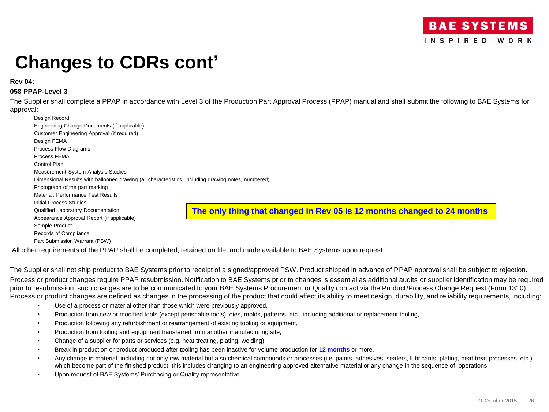#### **Rev 04:**

### **058 PPAP-Level 3**

The Supplier shall complete a PPAP in accordance with Level 3 of the Production Part Approval Process (PPAP) manual and shall submit the following to BAE Systems for approval:

| Design Record                                                                                       |                                                                         |
|-----------------------------------------------------------------------------------------------------|-------------------------------------------------------------------------|
| Engineering Change Documents (if applicable)                                                        |                                                                         |
| Customer Engineering Approval (if required)                                                         |                                                                         |
| Design FEMA                                                                                         |                                                                         |
| Process Flow Diagrams                                                                               |                                                                         |
| Process FEMA                                                                                        |                                                                         |
| Control Plan                                                                                        |                                                                         |
| Measurement System Analysis Studies                                                                 |                                                                         |
| Dimensional Results with ballooned drawing (all characteristics, including drawing notes, numbered) |                                                                         |
| Photograph of the part marking                                                                      |                                                                         |
| Material. Performance Test Results                                                                  |                                                                         |
| Initial Process Studies                                                                             |                                                                         |
| Qualified Laboratory Documentation                                                                  | The only thing that changed in Rev 05 is 12 months changed to 24 months |
| Appearance Approval Report (if applicable)                                                          |                                                                         |
| Sample Product                                                                                      |                                                                         |
| Records of Compliance                                                                               |                                                                         |
| Part Submission Warrant (PSW)                                                                       |                                                                         |

All other requirements of the PPAP shall be completed, retained on file, and made available to BAE Systems upon request.

The Supplier shall not ship product to BAE Systems prior to receipt of a signed/approved PSW. Product shipped in advance of PPAP approval shall be subject to rejection. Process or product changes require PPAP resubmission. Notification to BAE Systems prior to changes is essential as additional audits or supplier identification may be required prior to resubmission; such changes are to be communicated to your BAE Systems Procurement or Quality contact via the Product/Process Change Request (Form 1310). Process or product changes are defined as changes in the processing of the product that could affect its ability to meet design, durability, and reliability requirements, including:

- Use of a process or material other than those which were previously approved,
- Production from new or modified tools (except perishable tools), dies, molds, patterns, etc., including additional or replacement tooling,
- Production following any refurbishment or rearrangement of existing tooling or equipment,
- Production from tooling and equipment transferred from another manufacturing site,
- Change of a supplier for parts or services (e.g. heat treating, plating, welding),
- Break in production or product produced after tooling has been inactive for volume production for **12 months** or more,
- Any change in material, including not only raw material but also chemical compounds or processes (i.e. paints, adhesives, sealers, lubricants, plating, heat treat processes, etc.) which become part of the finished product; this includes changing to an engineering approved alternative material or any change in the sequence of operations,
- Upon request of BAE Systems' Purchasing or Quality representative.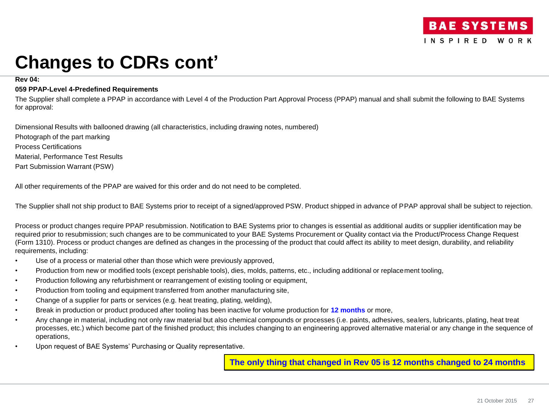### **Rev 04:**

### **059 PPAP-Level 4-Predefined Requirements**

The Supplier shall complete a PPAP in accordance with Level 4 of the Production Part Approval Process (PPAP) manual and shall submit the following to BAE Systems for approval:

Dimensional Results with ballooned drawing (all characteristics, including drawing notes, numbered)

Photograph of the part marking Process Certifications Material, Performance Test Results Part Submission Warrant (PSW)

All other requirements of the PPAP are waived for this order and do not need to be completed.

The Supplier shall not ship product to BAE Systems prior to receipt of a signed/approved PSW. Product shipped in advance of PPAP approval shall be subject to rejection.

Process or product changes require PPAP resubmission. Notification to BAE Systems prior to changes is essential as additional audits or supplier identification may be required prior to resubmission; such changes are to be communicated to your BAE Systems Procurement or Quality contact via the Product/Process Change Request (Form 1310). Process or product changes are defined as changes in the processing of the product that could affect its ability to meet design, durability, and reliability requirements, including:

- Use of a process or material other than those which were previously approved,
- Production from new or modified tools (except perishable tools), dies, molds, patterns, etc., including additional or replacement tooling,
- Production following any refurbishment or rearrangement of existing tooling or equipment,
- Production from tooling and equipment transferred from another manufacturing site,
- Change of a supplier for parts or services (e.g. heat treating, plating, welding),
- Break in production or product produced after tooling has been inactive for volume production for **12 months** or more,
- Any change in material, including not only raw material but also chemical compounds or processes (i.e. paints, adhesives, sealers, lubricants, plating, heat treat processes, etc.) which become part of the finished product; this includes changing to an engineering approved alternative material or any change in the sequence of operations,
- Upon request of BAE Systems' Purchasing or Quality representative.

**The only thing that changed in Rev 05 is 12 months changed to 24 months**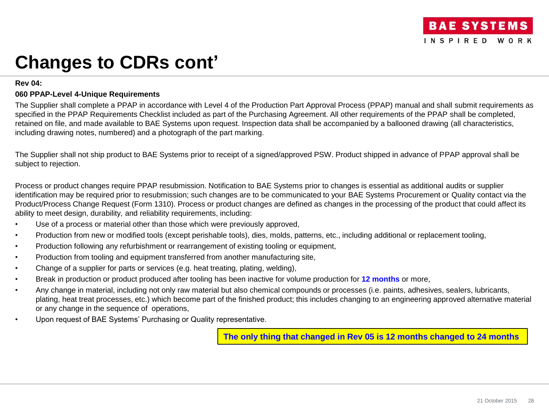### **Rev 04:**

### **060 PPAP-Level 4-Unique Requirements**

The Supplier shall complete a PPAP in accordance with Level 4 of the Production Part Approval Process (PPAP) manual and shall submit requirements as specified in the PPAP Requirements Checklist included as part of the Purchasing Agreement. All other requirements of the PPAP shall be completed, retained on file, and made available to BAE Systems upon request. Inspection data shall be accompanied by a ballooned drawing (all characteristics, including drawing notes, numbered) and a photograph of the part marking.

The Supplier shall not ship product to BAE Systems prior to receipt of a signed/approved PSW. Product shipped in advance of PPAP approval shall be subject to rejection.

Process or product changes require PPAP resubmission. Notification to BAE Systems prior to changes is essential as additional audits or supplier identification may be required prior to resubmission; such changes are to be communicated to your BAE Systems Procurement or Quality contact via the Product/Process Change Request (Form 1310). Process or product changes are defined as changes in the processing of the product that could affect its ability to meet design, durability, and reliability requirements, including:

- Use of a process or material other than those which were previously approved,
- Production from new or modified tools (except perishable tools), dies, molds, patterns, etc., including additional or replacement tooling,
- Production following any refurbishment or rearrangement of existing tooling or equipment,
- Production from tooling and equipment transferred from another manufacturing site,
- Change of a supplier for parts or services (e.g. heat treating, plating, welding),
- Break in production or product produced after tooling has been inactive for volume production for **12 months** or more,
- Any change in material, including not only raw material but also chemical compounds or processes (i.e. paints, adhesives, sealers, lubricants, plating, heat treat processes, etc.) which become part of the finished product; this includes changing to an engineering approved alternative material or any change in the sequence of operations,
- Upon request of BAE Systems' Purchasing or Quality representative.

**The only thing that changed in Rev 05 is 12 months changed to 24 months**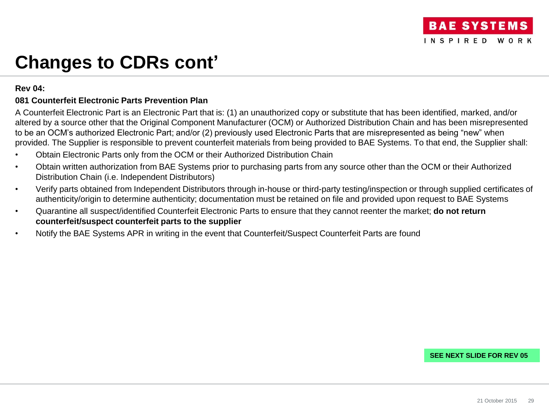## **Rev 04:**

## **081 Counterfeit Electronic Parts Prevention Plan**

A Counterfeit Electronic Part is an Electronic Part that is: (1) an unauthorized copy or substitute that has been identified, marked, and/or altered by a source other that the Original Component Manufacturer (OCM) or Authorized Distribution Chain and has been misrepresented to be an OCM's authorized Electronic Part; and/or (2) previously used Electronic Parts that are misrepresented as being "new" when provided. The Supplier is responsible to prevent counterfeit materials from being provided to BAE Systems. To that end, the Supplier shall:

- Obtain Electronic Parts only from the OCM or their Authorized Distribution Chain
- Obtain written authorization from BAE Systems prior to purchasing parts from any source other than the OCM or their Authorized Distribution Chain (i.e. Independent Distributors)
- Verify parts obtained from Independent Distributors through in-house or third-party testing/inspection or through supplied certificates of authenticity/origin to determine authenticity; documentation must be retained on file and provided upon request to BAE Systems
- Quarantine all suspect/identified Counterfeit Electronic Parts to ensure that they cannot reenter the market; **do not return counterfeit/suspect counterfeit parts to the supplier**
- Notify the BAE Systems APR in writing in the event that Counterfeit/Suspect Counterfeit Parts are found

### **SEE NEXT SLIDE FOR REV 05**